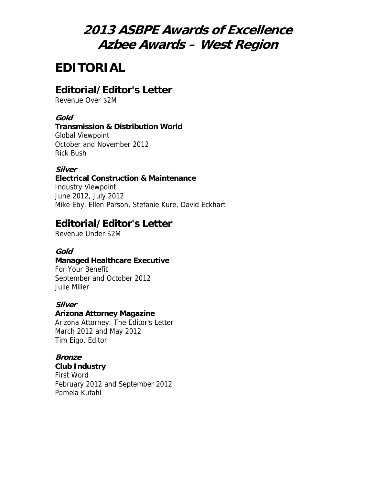# **2013 ASBPE Awards of Excellence Azbee Awards – West Region**

# **EDITORIAL**

### **Editorial/Editor's Letter**

Revenue Over \$2M

#### **Gold**

#### **Transmission & Distribution World**

Global Viewpoint October and November 2012 Rick Bush

#### **Silver**

#### **Electrical Construction & Maintenance**

Industry Viewpoint June 2012, July 2012 Mike Eby, Ellen Parson, Stefanie Kure, David Eckhart

### **Editorial/Editor's Letter**

Revenue Under \$2M

### **Gold**

#### **Managed Healthcare Executive**

For Your Benefit September and October 2012 Julie Miller

### **Silver**

#### **Arizona Attorney Magazine** Arizona Attorney: The Editor's Letter March 2012 and May 2012 Tim Eigo, Editor

### **Bronze**

**Club Industry** First Word February 2012 and September 2012 Pamela Kufahl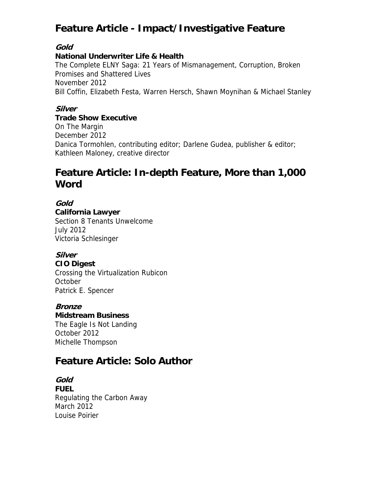## **Feature Article - Impact/Investigative Feature**

### **Gold**

#### **National Underwriter Life & Health**

The Complete ELNY Saga: 21 Years of Mismanagement, Corruption, Broken Promises and Shattered Lives November 2012 Bill Coffin, Elizabeth Festa, Warren Hersch, Shawn Moynihan & Michael Stanley

### **Silver**

#### **Trade Show Executive**

On The Margin December 2012 Danica Tormohlen, contributing editor; Darlene Gudea, publisher & editor; Kathleen Maloney, creative director

## **Feature Article: In-depth Feature, More than 1,000 Word**

#### **Gold**

**California Lawyer**

Section 8 Tenants Unwelcome July 2012 Victoria Schlesinger

## **Silver**

**CIO Digest** Crossing the Virtualization Rubicon **October** Patrick E. Spencer

### **Bronze**

**Midstream Business**

The Eagle Is Not Landing October 2012 Michelle Thompson

### **Feature Article: Solo Author**

**Gold FUEL** Regulating the Carbon Away March 2012 Louise Poirier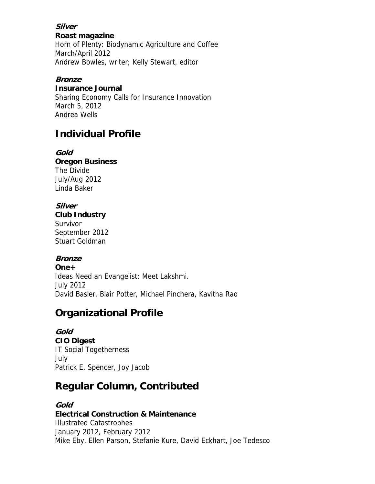#### **Silver Roast magazine**

Horn of Plenty: Biodynamic Agriculture and Coffee March/April 2012 Andrew Bowles, writer; Kelly Stewart, editor

#### **Bronze**

**Insurance Journal**

Sharing Economy Calls for Insurance Innovation March 5, 2012 Andrea Wells

## **Individual Profile**

**Gold Oregon Business** The Divide July/Aug 2012 Linda Baker

### **Silver**

**Club Industry** Survivor September 2012 Stuart Goldman

### **Bronze**

**One+** Ideas Need an Evangelist: Meet Lakshmi. July 2012 David Basler, Blair Potter, Michael Pinchera, Kavitha Rao

## **Organizational Profile**

**Gold CIO Digest** IT Social Togetherness July Patrick E. Spencer, Joy Jacob

## **Regular Column, Contributed**

### **Gold**

**Electrical Construction & Maintenance** Illustrated Catastrophes January 2012, February 2012 Mike Eby, Ellen Parson, Stefanie Kure, David Eckhart, Joe Tedesco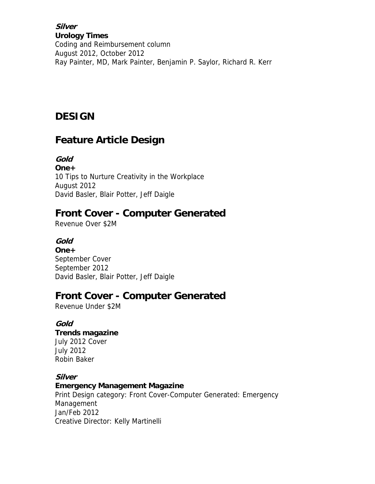**Silver Urology Times** Coding and Reimbursement column August 2012, October 2012 Ray Painter, MD, Mark Painter, Benjamin P. Saylor, Richard R. Kerr

## **DESIGN**

## **Feature Article Design**

**Gold One+** 10 Tips to Nurture Creativity in the Workplace August 2012 David Basler, Blair Potter, Jeff Daigle

## **Front Cover - Computer Generated**

Revenue Over \$2M

### **Gold**

**One+** September Cover September 2012 David Basler, Blair Potter, Jeff Daigle

## **Front Cover - Computer Generated**

Revenue Under \$2M

### **Gold**

**Trends magazine** July 2012 Cover July 2012 Robin Baker

### **Silver**

#### **Emergency Management Magazine**

Print Design category: Front Cover-Computer Generated: Emergency Management Jan/Feb 2012 Creative Director: Kelly Martinelli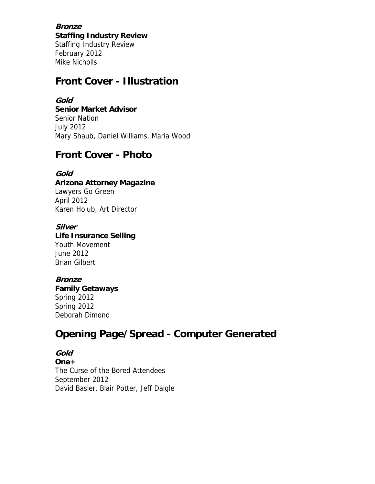**Bronze Staffing Industry Review** Staffing Industry Review February 2012 Mike Nicholls

### **Front Cover - Illustration**

#### **Gold**

**Senior Market Advisor** Senior Nation July 2012 Mary Shaub, Daniel Williams, Maria Wood

### **Front Cover - Photo**

#### **Gold**

**Arizona Attorney Magazine** Lawyers Go Green April 2012 Karen Holub, Art Director

#### **Silver**

**Life Insurance Selling** Youth Movement June 2012 Brian Gilbert

### **Bronze**

**Family Getaways** Spring 2012 Spring 2012 Deborah Dimond

## **Opening Page/Spread - Computer Generated**

**Gold One+** The Curse of the Bored Attendees September 2012 David Basler, Blair Potter, Jeff Daigle